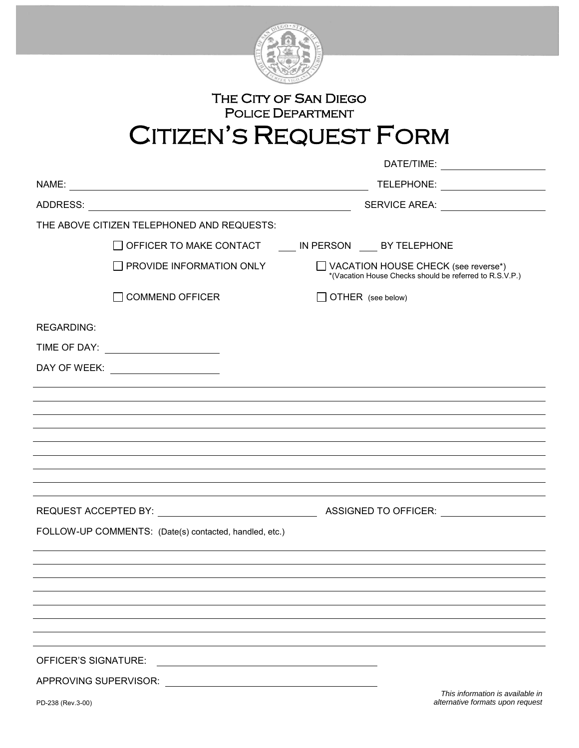

## THE CITY OF SAN DIEGO POLICE DEPARTMENT CITIZEN'S REQUEST FORM

|                       |                                                        |                                                      |                                                                                                |  | DATE/TIME:                           |
|-----------------------|--------------------------------------------------------|------------------------------------------------------|------------------------------------------------------------------------------------------------|--|--------------------------------------|
|                       |                                                        |                                                      |                                                                                                |  | TELEPHONE: ____________________      |
|                       |                                                        |                                                      |                                                                                                |  | SERVICE AREA: ______________________ |
|                       | THE ABOVE CITIZEN TELEPHONED AND REQUESTS:             |                                                      |                                                                                                |  |                                      |
|                       | OFFICER TO MAKE CONTACT IN PERSON BY TELEPHONE         |                                                      |                                                                                                |  |                                      |
|                       | $\Box$ PROVIDE INFORMATION ONLY                        |                                                      | VACATION HOUSE CHECK (see reverse*)<br>*(Vacation House Checks should be referred to R.S.V.P.) |  |                                      |
|                       | $\Box$ COMMEND OFFICER                                 |                                                      | OTHER (see below)                                                                              |  |                                      |
| <b>REGARDING:</b>     |                                                        |                                                      |                                                                                                |  |                                      |
|                       | TIME OF DAY: _______________________                   |                                                      |                                                                                                |  |                                      |
|                       | DAY OF WEEK: _____________________                     |                                                      |                                                                                                |  |                                      |
|                       |                                                        |                                                      |                                                                                                |  |                                      |
|                       |                                                        |                                                      |                                                                                                |  |                                      |
|                       |                                                        |                                                      |                                                                                                |  |                                      |
|                       |                                                        |                                                      |                                                                                                |  |                                      |
|                       |                                                        |                                                      |                                                                                                |  |                                      |
|                       |                                                        |                                                      |                                                                                                |  |                                      |
|                       |                                                        |                                                      |                                                                                                |  |                                      |
|                       |                                                        |                                                      |                                                                                                |  |                                      |
|                       | FOLLOW-UP COMMENTS: (Date(s) contacted, handled, etc.) |                                                      |                                                                                                |  |                                      |
|                       |                                                        |                                                      |                                                                                                |  |                                      |
|                       |                                                        |                                                      |                                                                                                |  |                                      |
|                       |                                                        |                                                      |                                                                                                |  |                                      |
|                       |                                                        |                                                      |                                                                                                |  |                                      |
|                       |                                                        |                                                      |                                                                                                |  |                                      |
|                       |                                                        |                                                      |                                                                                                |  |                                      |
| OFFICER'S SIGNATURE:  |                                                        |                                                      |                                                                                                |  |                                      |
| APPROVING SUPERVISOR: |                                                        | <u> 1989 - Andrea Brand, Amerikaansk politiker (</u> |                                                                                                |  | This information is available in     |